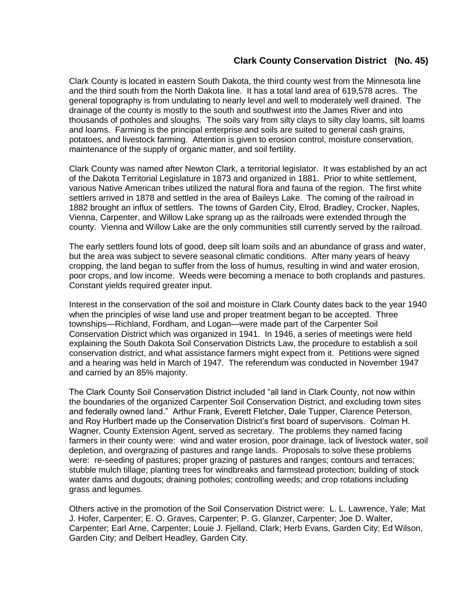## **Clark County Conservation District (No. 45)**

Clark County is located in eastern South Dakota, the third county west from the Minnesota line and the third south from the North Dakota line. It has a total land area of 619,578 acres. The general topography is from undulating to nearly level and well to moderately well drained. The drainage of the county is mostly to the south and southwest into the James River and into thousands of potholes and sloughs. The soils vary from silty clays to silty clay loams, silt loams and loams. Farming is the principal enterprise and soils are suited to general cash grains, potatoes, and livestock farming. Attention is given to erosion control, moisture conservation, maintenance of the supply of organic matter, and soil fertility.

Clark County was named after Newton Clark, a territorial legislator. It was established by an act of the Dakota Territorial Legislature in 1873 and organized in 1881. Prior to white settlement, various Native American tribes utilized the natural flora and fauna of the region. The first white settlers arrived in 1878 and settled in the area of Baileys Lake. The coming of the railroad in 1882 brought an influx of settlers. The towns of Garden City, Elrod, Bradley, Crocker, Naples, Vienna, Carpenter, and Willow Lake sprang up as the railroads were extended through the county. Vienna and Willow Lake are the only communities still currently served by the railroad.

The early settlers found lots of good, deep silt loam soils and an abundance of grass and water, but the area was subject to severe seasonal climatic conditions. After many years of heavy cropping, the land began to suffer from the loss of humus, resulting in wind and water erosion, poor crops, and low income. Weeds were becoming a menace to both croplands and pastures. Constant yields required greater input.

Interest in the conservation of the soil and moisture in Clark County dates back to the year 1940 when the principles of wise land use and proper treatment began to be accepted. Three townships—Richland, Fordham, and Logan—were made part of the Carpenter Soil Conservation District which was organized in 1941. In 1946, a series of meetings were held explaining the South Dakota Soil Conservation Districts Law, the procedure to establish a soil conservation district, and what assistance farmers might expect from it. Petitions were signed and a hearing was held in March of 1947. The referendum was conducted in November 1947 and carried by an 85% majority.

The Clark County Soil Conservation District included "all land in Clark County, not now within the boundaries of the organized Carpenter Soil Conservation District, and excluding town sites and federally owned land." Arthur Frank, Everett Fletcher, Dale Tupper, Clarence Peterson, and Roy Hurlbert made up the Conservation District's first board of supervisors. Colman H. Wagner, County Extension Agent, served as secretary. The problems they named facing farmers in their county were: wind and water erosion, poor drainage, lack of livestock water, soil depletion, and overgrazing of pastures and range lands. Proposals to solve these problems were: re-seeding of pastures; proper grazing of pastures and ranges; contours and terraces; stubble mulch tillage; planting trees for windbreaks and farmstead protection; building of stock water dams and dugouts; draining potholes; controlling weeds; and crop rotations including grass and legumes.

Others active in the promotion of the Soil Conservation District were: L. L. Lawrence, Yale; Mat J. Hofer, Carpenter; E. O. Graves, Carpenter; P. G. Glanzer, Carpenter; Joe D. Walter, Carpenter; Earl Arne, Carpenter; Louie J. Fjelland, Clark; Herb Evans, Garden City; Ed Wilson, Garden City; and Delbert Headley, Garden City.